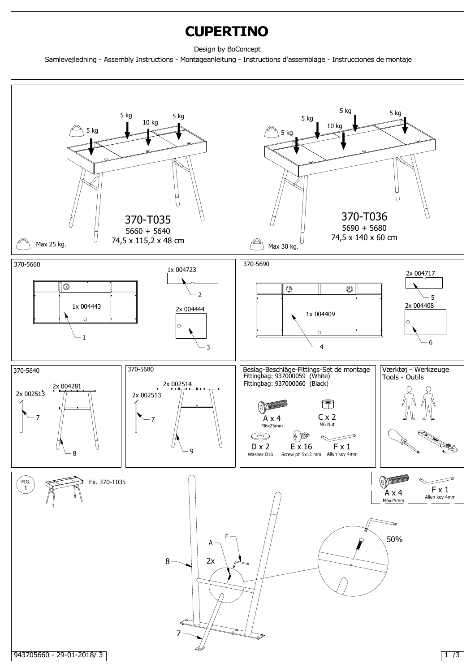## **CUPERTINO**

Design by BoConcept

Samlevejledning - Assembly Instructions - Montageanleitung - Instructions d'assemblage - Instrucciones de montaje

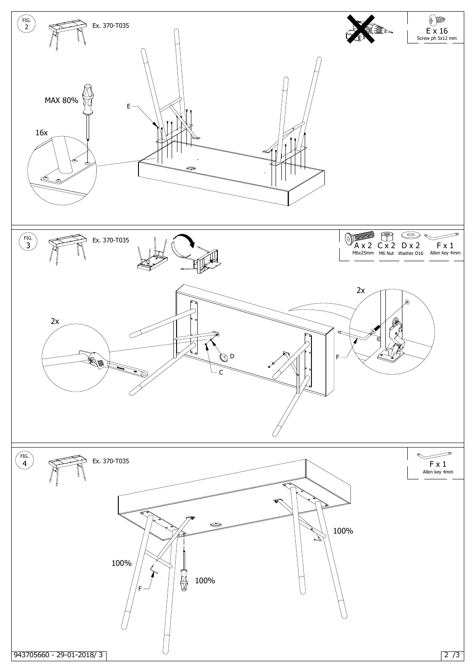